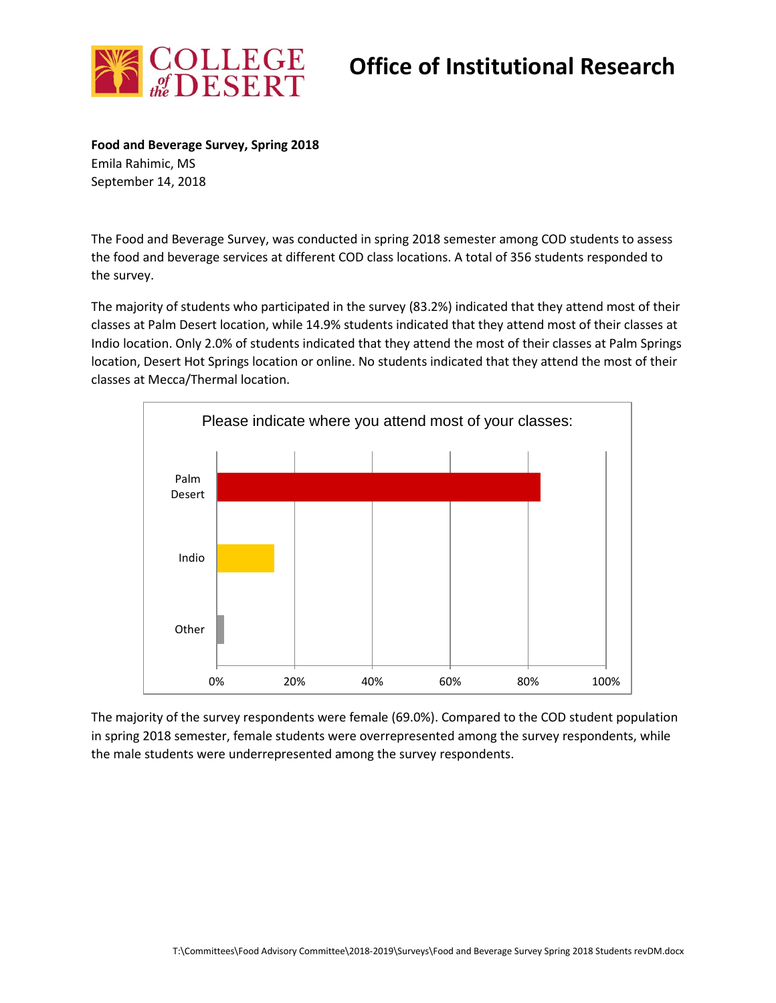

## **Office of Institutional Research**

**Food and Beverage Survey, Spring 2018** Emila Rahimic, MS September 14, 2018

The Food and Beverage Survey, was conducted in spring 2018 semester among COD students to assess the food and beverage services at different COD class locations. A total of 356 students responded to the survey.

The majority of students who participated in the survey (83.2%) indicated that they attend most of their classes at Palm Desert location, while 14.9% students indicated that they attend most of their classes at Indio location. Only 2.0% of students indicated that they attend the most of their classes at Palm Springs location, Desert Hot Springs location or online. No students indicated that they attend the most of their classes at Mecca/Thermal location.



The majority of the survey respondents were female (69.0%). Compared to the COD student population in spring 2018 semester, female students were overrepresented among the survey respondents, while the male students were underrepresented among the survey respondents.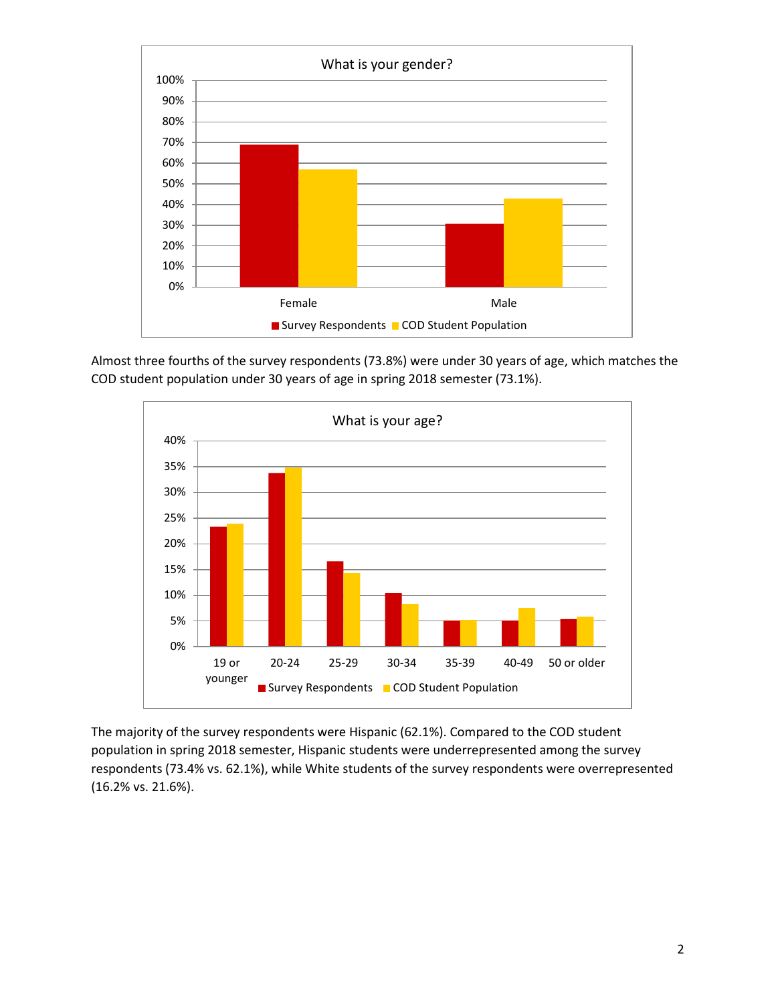

Almost three fourths of the survey respondents (73.8%) were under 30 years of age, which matches the COD student population under 30 years of age in spring 2018 semester (73.1%).



The majority of the survey respondents were Hispanic (62.1%). Compared to the COD student population in spring 2018 semester, Hispanic students were underrepresented among the survey respondents (73.4% vs. 62.1%), while White students of the survey respondents were overrepresented (16.2% vs. 21.6%).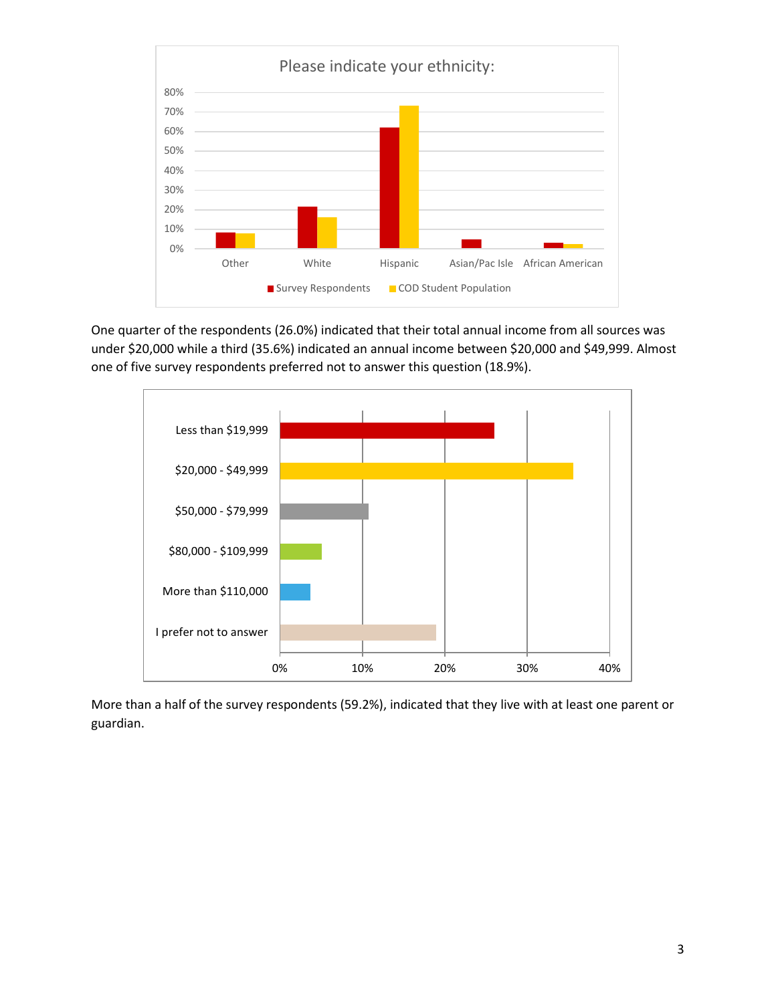

One quarter of the respondents (26.0%) indicated that their total annual income from all sources was under \$20,000 while a third (35.6%) indicated an annual income between \$20,000 and \$49,999. Almost one of five survey respondents preferred not to answer this question (18.9%).



More than a half of the survey respondents (59.2%), indicated that they live with at least one parent or guardian.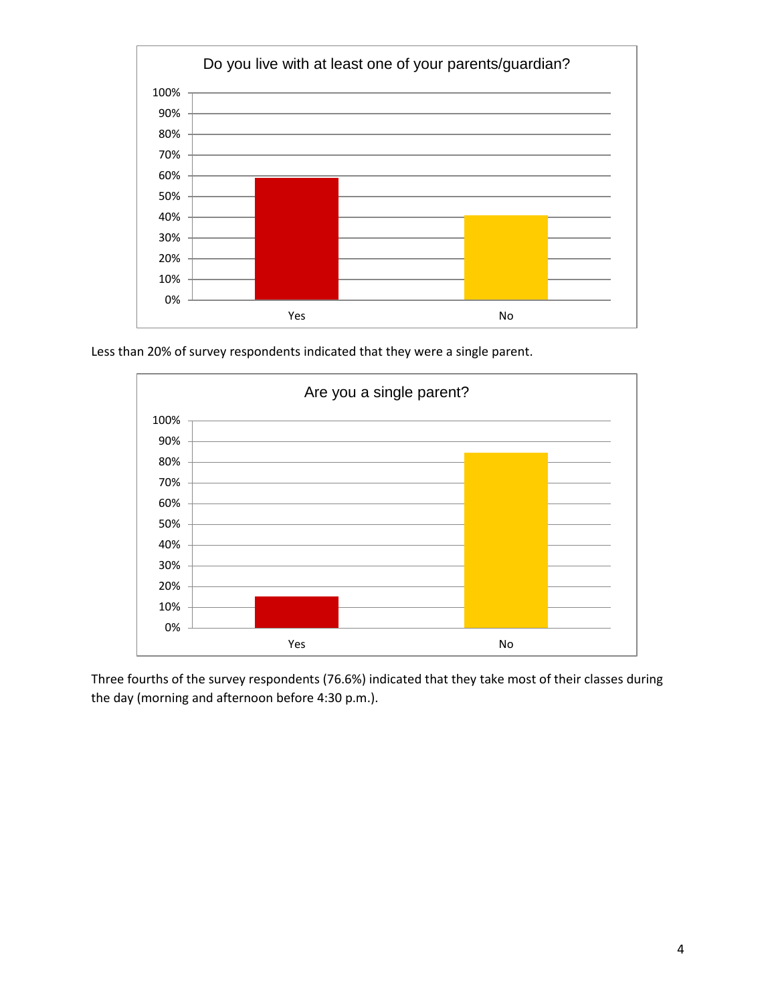

Less than 20% of survey respondents indicated that they were a single parent.



Three fourths of the survey respondents (76.6%) indicated that they take most of their classes during the day (morning and afternoon before 4:30 p.m.).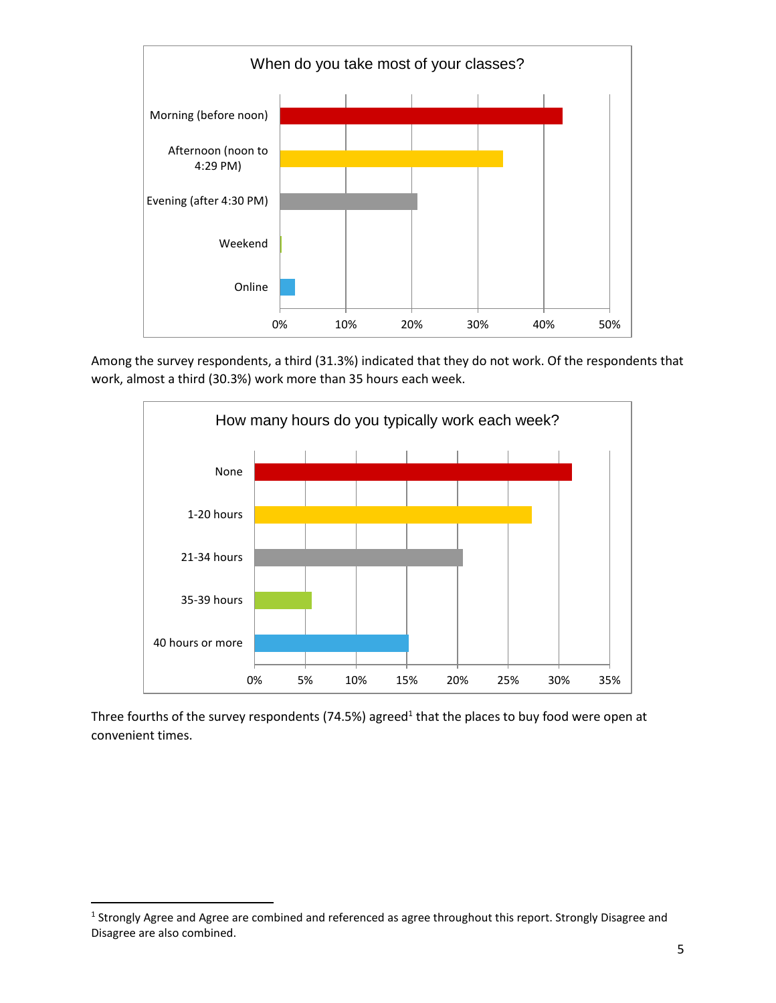

Among the survey respondents, a third (31.3%) indicated that they do not work. Of the respondents that work, almost a third (30.3%) work more than 35 hours each week.



Three fourths of the survey respondents (74.5%) agreed<sup>1</sup> that the places to buy food were open at convenient times.

<sup>&</sup>lt;sup>1</sup> Strongly Agree and Agree are combined and referenced as agree throughout this report. Strongly Disagree and Disagree are also combined.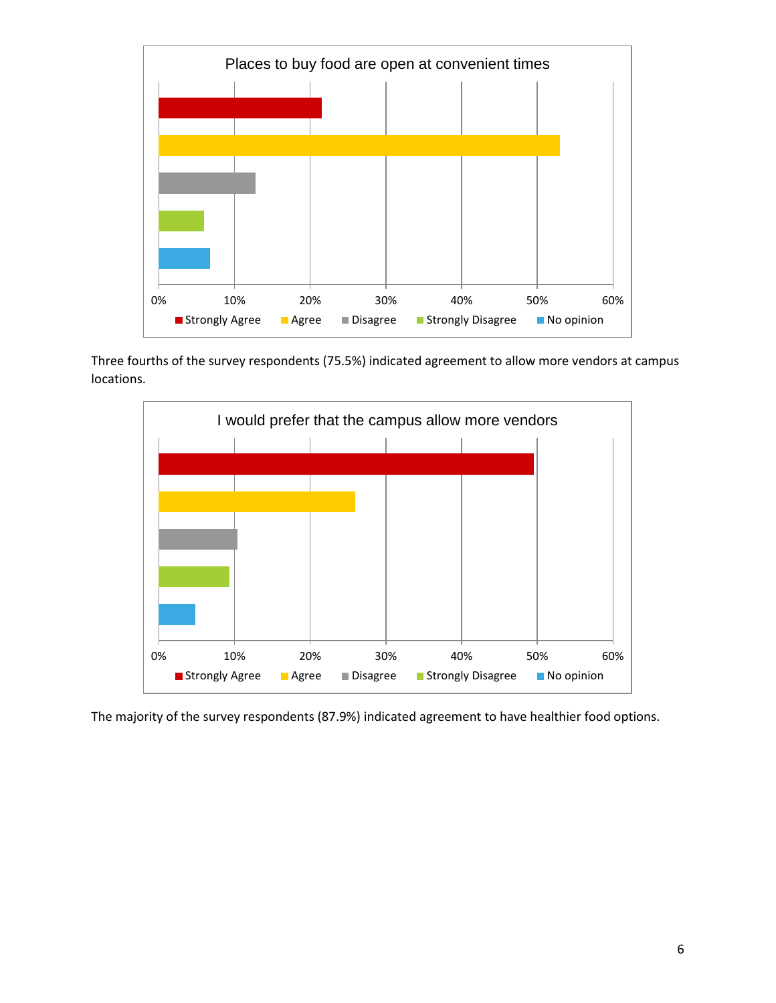

Three fourths of the survey respondents (75.5%) indicated agreement to allow more vendors at campus locations.



The majority of the survey respondents (87.9%) indicated agreement to have healthier food options.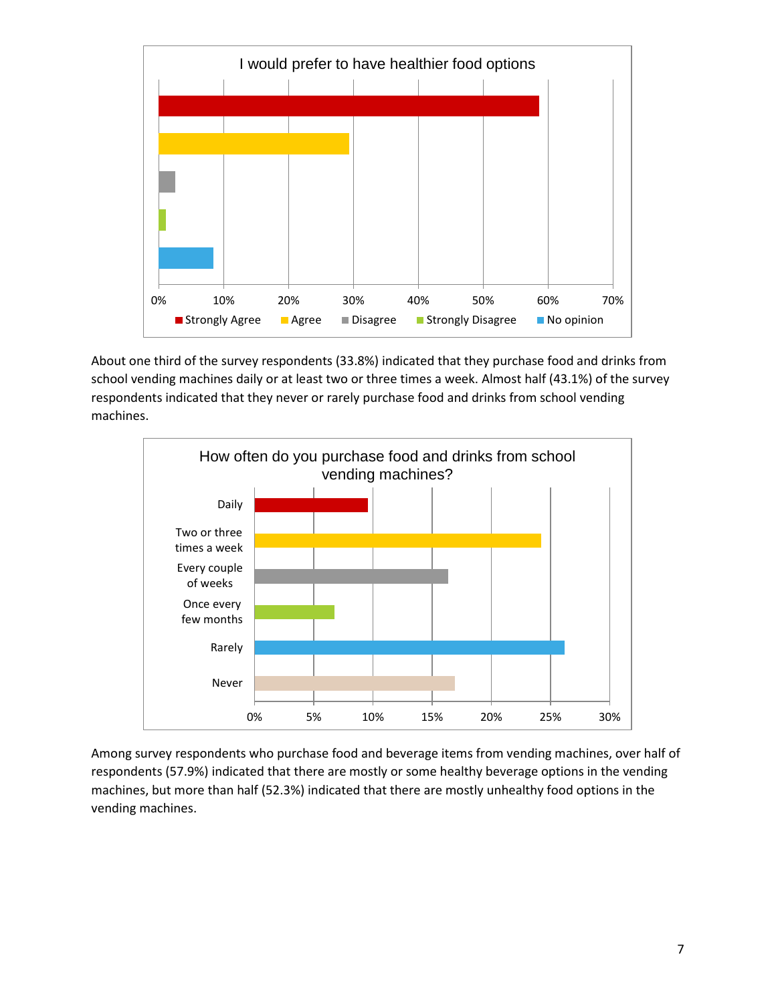

About one third of the survey respondents (33.8%) indicated that they purchase food and drinks from school vending machines daily or at least two or three times a week. Almost half (43.1%) of the survey respondents indicated that they never or rarely purchase food and drinks from school vending machines.



Among survey respondents who purchase food and beverage items from vending machines, over half of respondents (57.9%) indicated that there are mostly or some healthy beverage options in the vending machines, but more than half (52.3%) indicated that there are mostly unhealthy food options in the vending machines.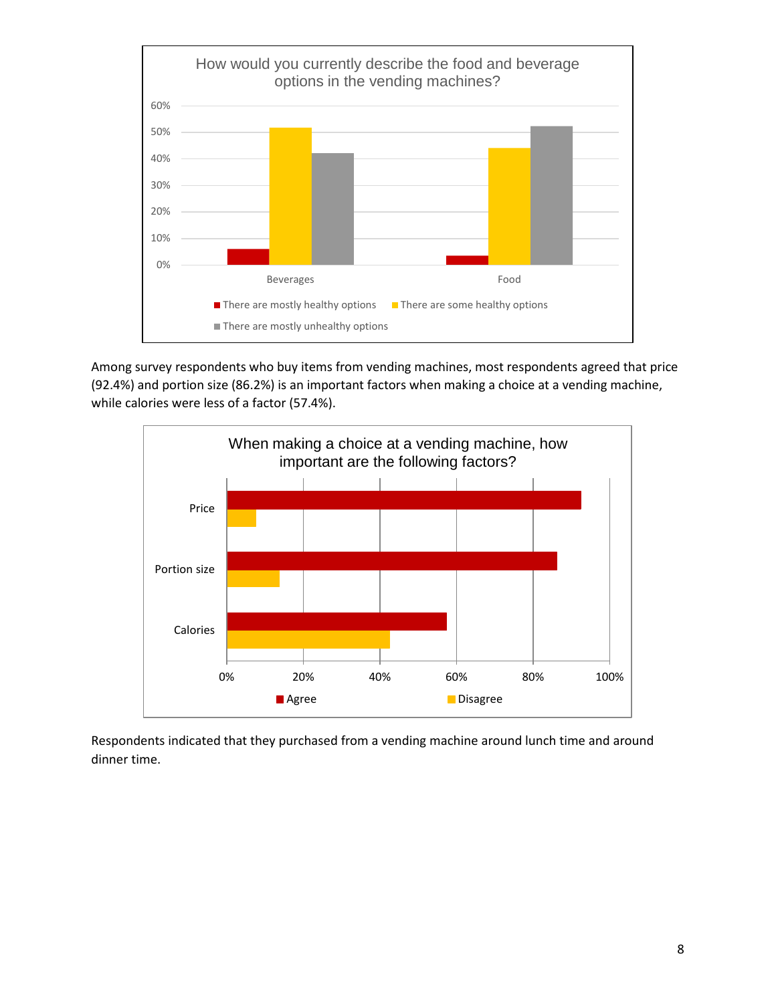

Among survey respondents who buy items from vending machines, most respondents agreed that price (92.4%) and portion size (86.2%) is an important factors when making a choice at a vending machine, while calories were less of a factor (57.4%).



Respondents indicated that they purchased from a vending machine around lunch time and around dinner time.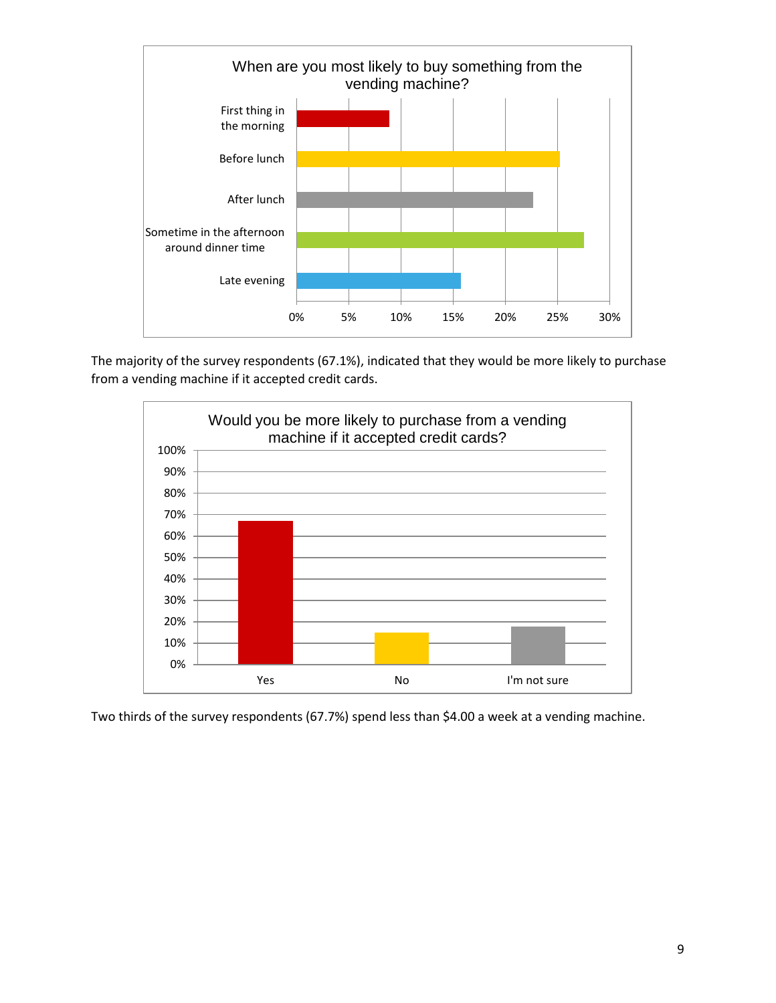

The majority of the survey respondents (67.1%), indicated that they would be more likely to purchase from a vending machine if it accepted credit cards.



Two thirds of the survey respondents (67.7%) spend less than \$4.00 a week at a vending machine.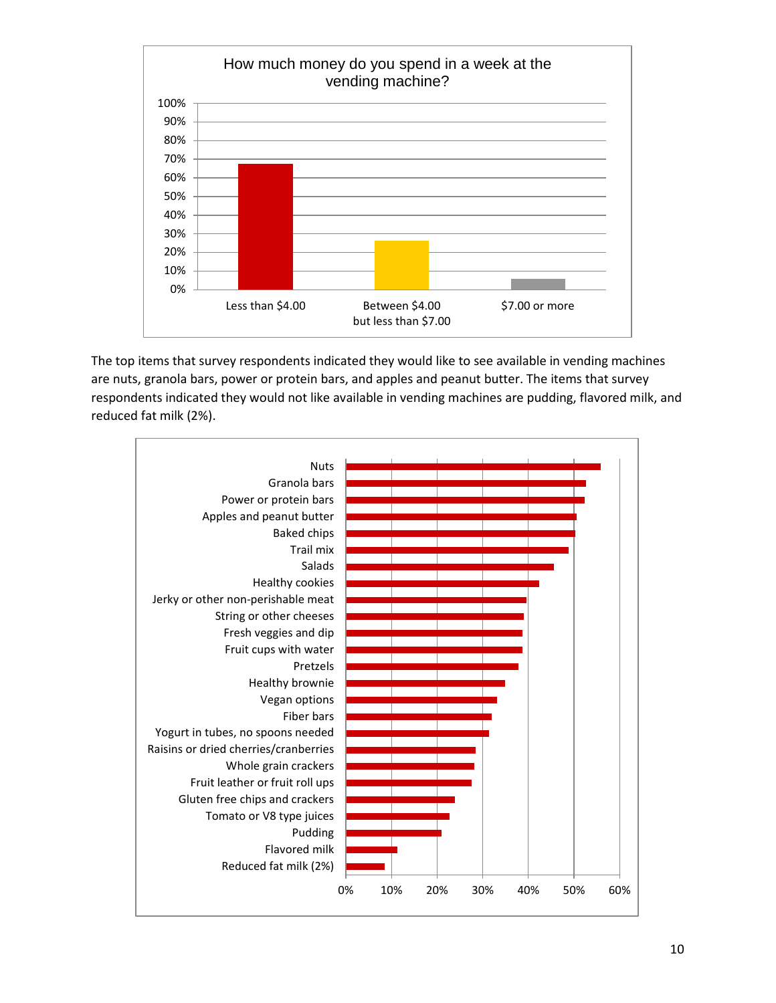

The top items that survey respondents indicated they would like to see available in vending machines are nuts, granola bars, power or protein bars, and apples and peanut butter. The items that survey respondents indicated they would not like available in vending machines are pudding, flavored milk, and reduced fat milk (2%).